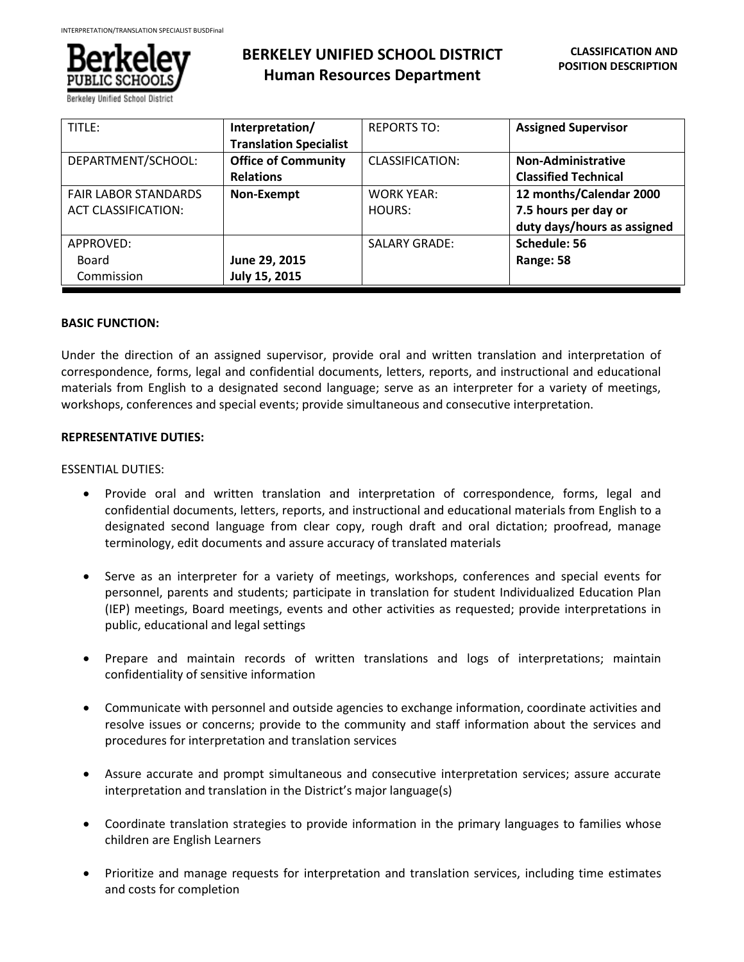

| TITLE:                      | Interpretation/               | <b>REPORTS TO:</b>     | <b>Assigned Supervisor</b>  |
|-----------------------------|-------------------------------|------------------------|-----------------------------|
|                             | <b>Translation Specialist</b> |                        |                             |
| DEPARTMENT/SCHOOL:          | <b>Office of Community</b>    | <b>CLASSIFICATION:</b> | Non-Administrative          |
|                             | <b>Relations</b>              |                        | <b>Classified Technical</b> |
| <b>FAIR LABOR STANDARDS</b> | Non-Exempt                    | <b>WORK YEAR:</b>      | 12 months/Calendar 2000     |
| <b>ACT CLASSIFICATION:</b>  |                               | HOURS:                 | 7.5 hours per day or        |
|                             |                               |                        | duty days/hours as assigned |
| APPROVED:                   |                               | <b>SALARY GRADE:</b>   | Schedule: 56                |
| Board                       | June 29, 2015                 |                        | Range: 58                   |
| Commission                  | July 15, 2015                 |                        |                             |

## **BASIC FUNCTION:**

Under the direction of an assigned supervisor, provide oral and written translation and interpretation of correspondence, forms, legal and confidential documents, letters, reports, and instructional and educational materials from English to a designated second language; serve as an interpreter for a variety of meetings, workshops, conferences and special events; provide simultaneous and consecutive interpretation.

## **REPRESENTATIVE DUTIES:**

## ESSENTIAL DUTIES:

- Provide oral and written translation and interpretation of correspondence, forms, legal and confidential documents, letters, reports, and instructional and educational materials from English to a designated second language from clear copy, rough draft and oral dictation; proofread, manage terminology, edit documents and assure accuracy of translated materials
- Serve as an interpreter for a variety of meetings, workshops, conferences and special events for personnel, parents and students; participate in translation for student Individualized Education Plan (IEP) meetings, Board meetings, events and other activities as requested; provide interpretations in public, educational and legal settings
- Prepare and maintain records of written translations and logs of interpretations; maintain confidentiality of sensitive information
- Communicate with personnel and outside agencies to exchange information, coordinate activities and resolve issues or concerns; provide to the community and staff information about the services and procedures for interpretation and translation services
- Assure accurate and prompt simultaneous and consecutive interpretation services; assure accurate interpretation and translation in the District's major language(s)
- Coordinate translation strategies to provide information in the primary languages to families whose children are English Learners
- Prioritize and manage requests for interpretation and translation services, including time estimates and costs for completion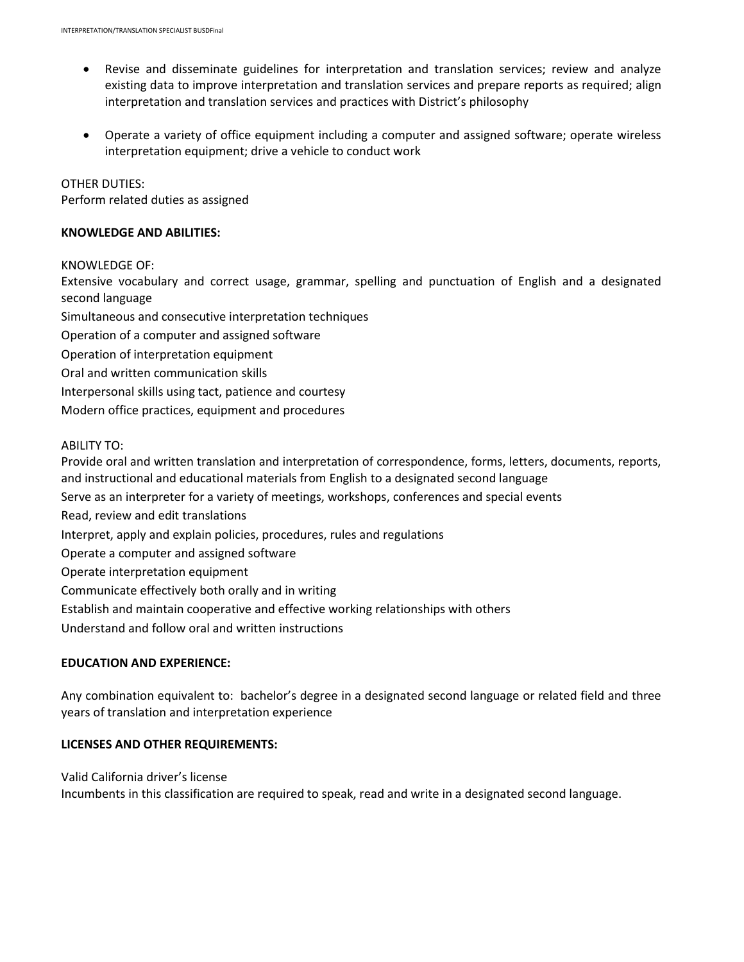- Revise and disseminate guidelines for interpretation and translation services; review and analyze existing data to improve interpretation and translation services and prepare reports as required; align interpretation and translation services and practices with District's philosophy
- Operate a variety of office equipment including a computer and assigned software; operate wireless interpretation equipment; drive a vehicle to conduct work

### OTHER DUTIES:

Perform related duties as assigned

### **KNOWLEDGE AND ABILITIES:**

#### KNOWLEDGE OF:

Extensive vocabulary and correct usage, grammar, spelling and punctuation of English and a designated second language

Simultaneous and consecutive interpretation techniques

- Operation of a computer and assigned software
- Operation of interpretation equipment
- Oral and written communication skills
- Interpersonal skills using tact, patience and courtesy
- Modern office practices, equipment and procedures

### ABILITY TO:

Provide oral and written translation and interpretation of correspondence, forms, letters, documents, reports, and instructional and educational materials from English to a designated second language

Serve as an interpreter for a variety of meetings, workshops, conferences and special events

Read, review and edit translations

Interpret, apply and explain policies, procedures, rules and regulations

Operate a computer and assigned software

Operate interpretation equipment

Communicate effectively both orally and in writing

Establish and maintain cooperative and effective working relationships with others

Understand and follow oral and written instructions

### **EDUCATION AND EXPERIENCE:**

Any combination equivalent to: bachelor's degree in a designated second language or related field and three years of translation and interpretation experience

# **LICENSES AND OTHER REQUIREMENTS:**

Valid California driver's license Incumbents in this classification are required to speak, read and write in a designated second language.